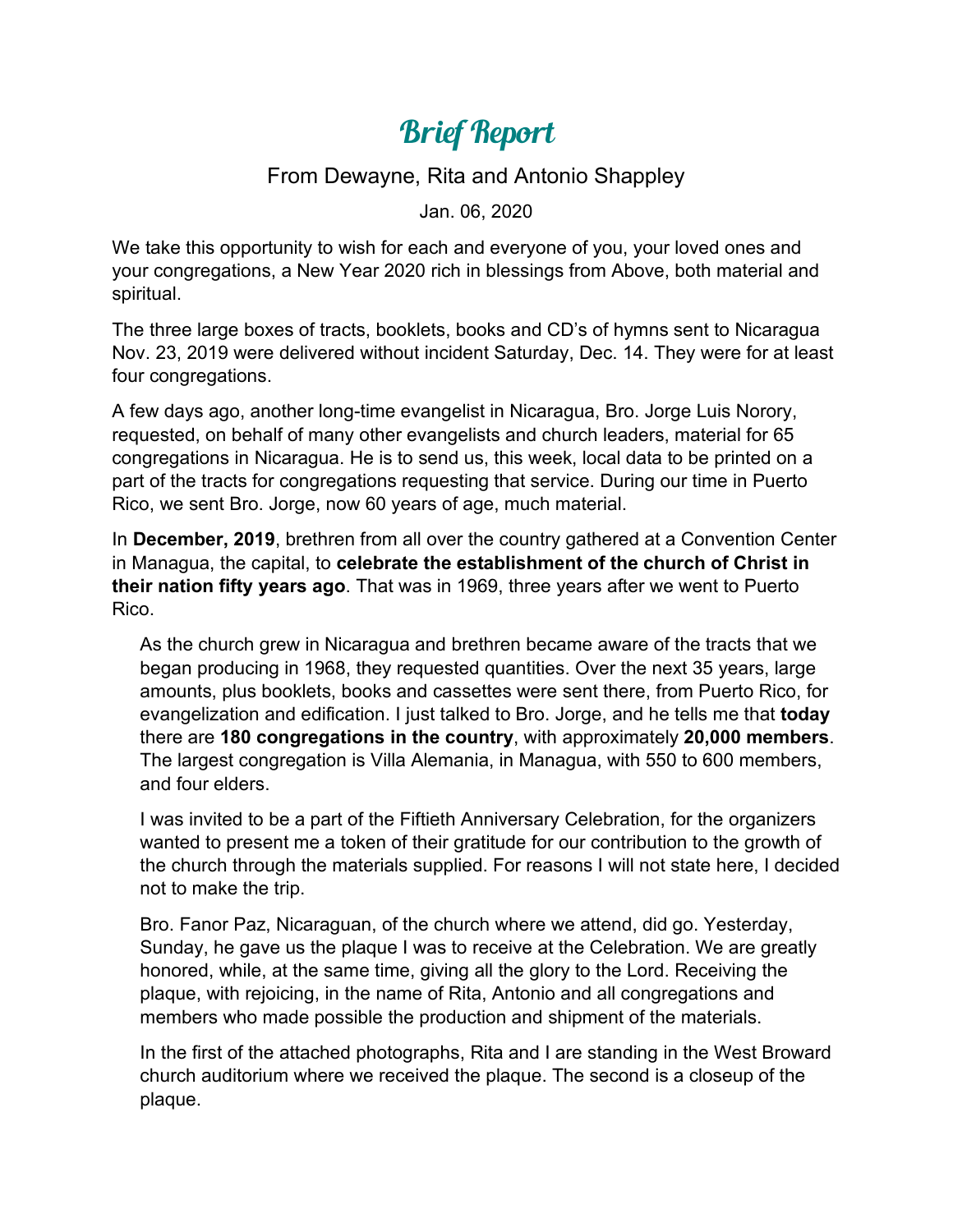## Brief Report

## From Dewayne, Rita and Antonio Shappley

Jan. 06, 2020

We take this opportunity to wish for each and everyone of you, your loved ones and your congregations, a New Year 2020 rich in blessings from Above, both material and spiritual.

The three large boxes of tracts, booklets, books and CD's of hymns sent to Nicaragua Nov. 23, 2019 were delivered without incident Saturday, Dec. 14. They were for at least four congregations.

A few days ago, another long-time evangelist in Nicaragua, Bro. Jorge Luis Norory, requested, on behalf of many other evangelists and church leaders, material for 65 congregations in Nicaragua. He is to send us, this week, local data to be printed on a part of the tracts for congregations requesting that service. During our time in Puerto Rico, we sent Bro. Jorge, now 60 years of age, much material.

In **December, 2019**, brethren from all over the country gathered at a Convention Center in Managua, the capital, to **celebrate the establishment of the church of Christ in their nation fifty years ago**. That was in 1969, three years after we went to Puerto Rico.

As the church grew in Nicaragua and brethren became aware of the tracts that we began producing in 1968, they requested quantities. Over the next 35 years, large amounts, plus booklets, books and cassettes were sent there, from Puerto Rico, for evangelization and edification. I just talked to Bro. Jorge, and he tells me that **today**  there are **180 congregations in the country**, with approximately **20,000 members**. The largest congregation is Villa Alemania, in Managua, with 550 to 600 members, and four elders.

I was invited to be a part of the Fiftieth Anniversary Celebration, for the organizers wanted to present me a token of their gratitude for our contribution to the growth of the church through the materials supplied. For reasons I will not state here, I decided not to make the trip.

Bro. Fanor Paz, Nicaraguan, of the church where we attend, did go. Yesterday, Sunday, he gave us the plaque I was to receive at the Celebration. We are greatly honored, while, at the same time, giving all the glory to the Lord. Receiving the plaque, with rejoicing, in the name of Rita, Antonio and all congregations and members who made possible the production and shipment of the materials.

In the first of the attached photographs, Rita and I are standing in the West Broward church auditorium where we received the plaque. The second is a closeup of the plaque.